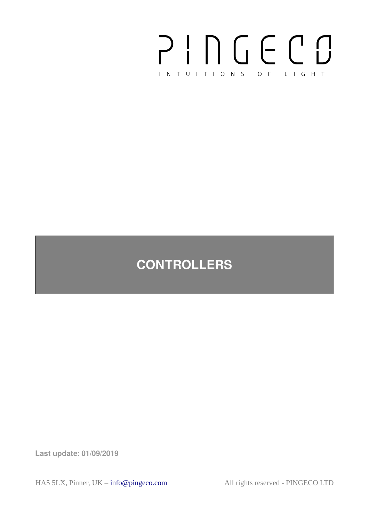

# **CONTROLLERS**

**Last update: 01/09/2019**

HA5 5LX, Pinner, UK –  $info@pingeco.com$  All rights reserved - PINGECO LTD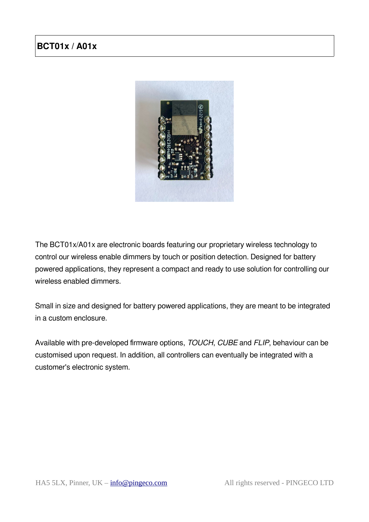# **BCT01x / A01x**



The BCT01x/A01x are electronic boards featuring our proprietary wireless technology to control our wireless enable dimmers by touch or position detection. Designed for battery powered applications, they represent a compact and ready to use solution for controlling our wireless enabled dimmers.

Small in size and designed for battery powered applications, they are meant to be integrated in a custom enclosure.

Available with pre-developed firmware options, TOUCH, CUBE and FLIP, behaviour can be customised upon request. In addition, all controllers can eventually be integrated with a customer's electronic system.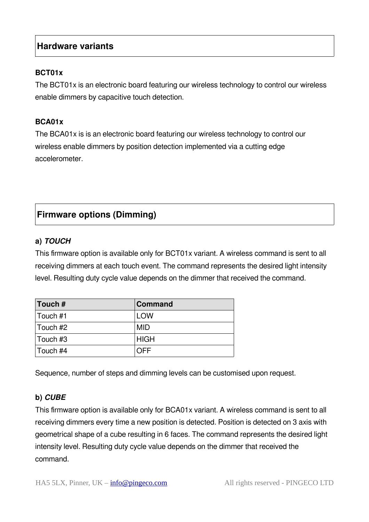## **Hardware variants**

#### **BCT01x**

The BCT01x is an electronic board featuring our wireless technology to control our wireless enable dimmers by capacitive touch detection.

#### **BCA01x**

The BCA01x is is an electronic board featuring our wireless technology to control our wireless enable dimmers by position detection implemented via a cutting edge accelerometer.

# **Firmware options (Dimming)**

#### **a) TOUCH**

This firmware option is available only for BCT01x variant. A wireless command is sent to all receiving dimmers at each touch event. The command represents the desired light intensity level. Resulting duty cycle value depends on the dimmer that received the command.

| Touch #  | <b>Command</b> |
|----------|----------------|
| Touch #1 | <b>LOW</b>     |
| Touch #2 | <b>MID</b>     |
| Touch #3 | <b>HIGH</b>    |
| Touch #4 | NFF            |

Sequence, number of steps and dimming levels can be customised upon request.

#### **b) CUBE**

This firmware option is available only for BCA01x variant. A wireless command is sent to all receiving dimmers every time a new position is detected. Position is detected on 3 axis with geometrical shape of a cube resulting in 6 faces. The command represents the desired light intensity level. Resulting duty cycle value depends on the dimmer that received the command.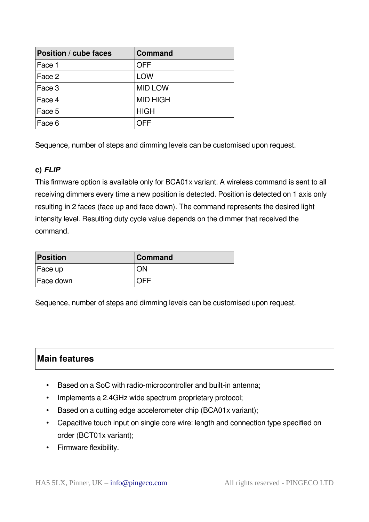| Position / cube faces | <b>Command</b>  |
|-----------------------|-----------------|
| Face 1                | <b>OFF</b>      |
| Face 2                | <b>LOW</b>      |
| Face 3                | <b>MID LOW</b>  |
| Face 4                | <b>MID HIGH</b> |
| Face 5                | <b>HIGH</b>     |
| Face 6                | ∩FF             |

Sequence, number of steps and dimming levels can be customised upon request.

#### **c) FLIP**

This firmware option is available only for BCA01x variant. A wireless command is sent to all receiving dimmers every time a new position is detected. Position is detected on 1 axis only resulting in 2 faces (face up and face down). The command represents the desired light intensity level. Resulting duty cycle value depends on the dimmer that received the command.

| Position  | <b>Command</b> |
|-----------|----------------|
| Face up   | 7N             |
| Face down |                |

Sequence, number of steps and dimming levels can be customised upon request.

## **Main features**

- Based on a SoC with radio-microcontroller and built-in antenna;
- Implements a 2.4GHz wide spectrum proprietary protocol;
- Based on a cutting edge accelerometer chip (BCA01x variant);
- Capacitive touch input on single core wire: length and connection type specified on order (BCT01x variant);
- Firmware flexibility.